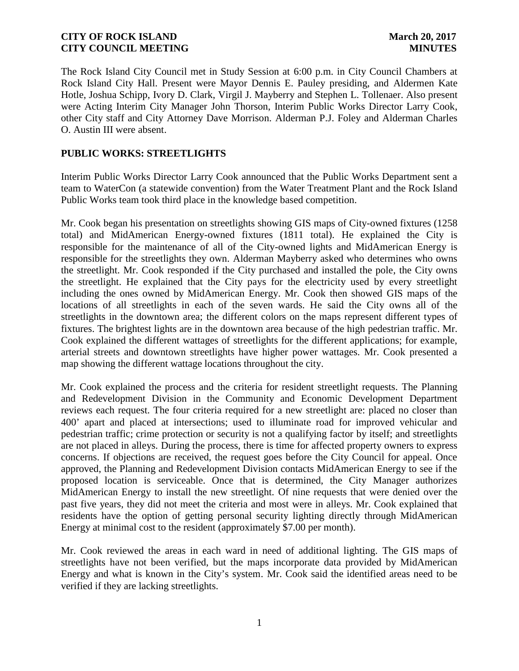The Rock Island City Council met in Study Session at 6:00 p.m. in City Council Chambers at Rock Island City Hall. Present were Mayor Dennis E. Pauley presiding, and Aldermen Kate Hotle, Joshua Schipp, Ivory D. Clark, Virgil J. Mayberry and Stephen L. Tollenaer. Also present were Acting Interim City Manager John Thorson, Interim Public Works Director Larry Cook, other City staff and City Attorney Dave Morrison. Alderman P.J. Foley and Alderman Charles O. Austin III were absent.

# **PUBLIC WORKS: STREETLIGHTS**

Interim Public Works Director Larry Cook announced that the Public Works Department sent a team to WaterCon (a statewide convention) from the Water Treatment Plant and the Rock Island Public Works team took third place in the knowledge based competition.

Mr. Cook began his presentation on streetlights showing GIS maps of City-owned fixtures (1258 total) and MidAmerican Energy-owned fixtures (1811 total). He explained the City is responsible for the maintenance of all of the City-owned lights and MidAmerican Energy is responsible for the streetlights they own. Alderman Mayberry asked who determines who owns the streetlight. Mr. Cook responded if the City purchased and installed the pole, the City owns the streetlight. He explained that the City pays for the electricity used by every streetlight including the ones owned by MidAmerican Energy. Mr. Cook then showed GIS maps of the locations of all streetlights in each of the seven wards. He said the City owns all of the streetlights in the downtown area; the different colors on the maps represent different types of fixtures. The brightest lights are in the downtown area because of the high pedestrian traffic. Mr. Cook explained the different wattages of streetlights for the different applications; for example, arterial streets and downtown streetlights have higher power wattages. Mr. Cook presented a map showing the different wattage locations throughout the city.

Mr. Cook explained the process and the criteria for resident streetlight requests. The Planning and Redevelopment Division in the Community and Economic Development Department reviews each request. The four criteria required for a new streetlight are: placed no closer than 400' apart and placed at intersections; used to illuminate road for improved vehicular and pedestrian traffic; crime protection or security is not a qualifying factor by itself; and streetlights are not placed in alleys. During the process, there is time for affected property owners to express concerns. If objections are received, the request goes before the City Council for appeal. Once approved, the Planning and Redevelopment Division contacts MidAmerican Energy to see if the proposed location is serviceable. Once that is determined, the City Manager authorizes MidAmerican Energy to install the new streetlight. Of nine requests that were denied over the past five years, they did not meet the criteria and most were in alleys. Mr. Cook explained that residents have the option of getting personal security lighting directly through MidAmerican Energy at minimal cost to the resident (approximately \$7.00 per month).

Mr. Cook reviewed the areas in each ward in need of additional lighting. The GIS maps of streetlights have not been verified, but the maps incorporate data provided by MidAmerican Energy and what is known in the City's system. Mr. Cook said the identified areas need to be verified if they are lacking streetlights.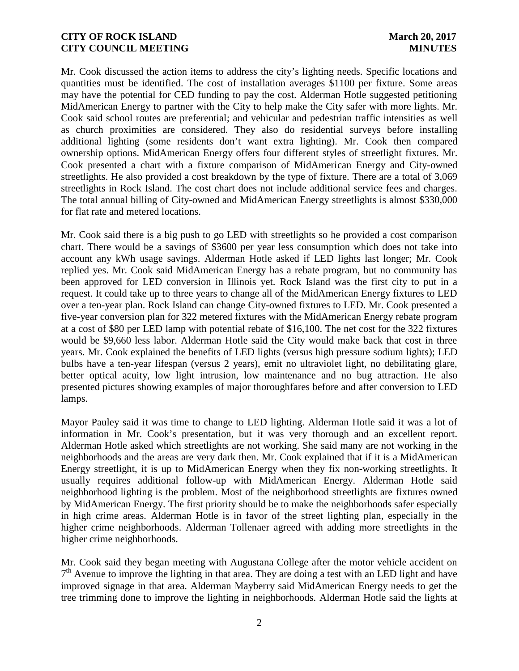Mr. Cook discussed the action items to address the city's lighting needs. Specific locations and quantities must be identified. The cost of installation averages \$1100 per fixture. Some areas may have the potential for CED funding to pay the cost. Alderman Hotle suggested petitioning MidAmerican Energy to partner with the City to help make the City safer with more lights. Mr. Cook said school routes are preferential; and vehicular and pedestrian traffic intensities as well as church proximities are considered. They also do residential surveys before installing additional lighting (some residents don't want extra lighting). Mr. Cook then compared ownership options. MidAmerican Energy offers four different styles of streetlight fixtures. Mr. Cook presented a chart with a fixture comparison of MidAmerican Energy and City-owned streetlights. He also provided a cost breakdown by the type of fixture. There are a total of 3,069 streetlights in Rock Island. The cost chart does not include additional service fees and charges. The total annual billing of City-owned and MidAmerican Energy streetlights is almost \$330,000 for flat rate and metered locations.

Mr. Cook said there is a big push to go LED with streetlights so he provided a cost comparison chart. There would be a savings of \$3600 per year less consumption which does not take into account any kWh usage savings. Alderman Hotle asked if LED lights last longer; Mr. Cook replied yes. Mr. Cook said MidAmerican Energy has a rebate program, but no community has been approved for LED conversion in Illinois yet. Rock Island was the first city to put in a request. It could take up to three years to change all of the MidAmerican Energy fixtures to LED over a ten-year plan. Rock Island can change City-owned fixtures to LED. Mr. Cook presented a five-year conversion plan for 322 metered fixtures with the MidAmerican Energy rebate program at a cost of \$80 per LED lamp with potential rebate of \$16,100. The net cost for the 322 fixtures would be \$9,660 less labor. Alderman Hotle said the City would make back that cost in three years. Mr. Cook explained the benefits of LED lights (versus high pressure sodium lights); LED bulbs have a ten-year lifespan (versus 2 years), emit no ultraviolet light, no debilitating glare, better optical acuity, low light intrusion, low maintenance and no bug attraction. He also presented pictures showing examples of major thoroughfares before and after conversion to LED lamps.

Mayor Pauley said it was time to change to LED lighting. Alderman Hotle said it was a lot of information in Mr. Cook's presentation, but it was very thorough and an excellent report. Alderman Hotle asked which streetlights are not working. She said many are not working in the neighborhoods and the areas are very dark then. Mr. Cook explained that if it is a MidAmerican Energy streetlight, it is up to MidAmerican Energy when they fix non-working streetlights. It usually requires additional follow-up with MidAmerican Energy. Alderman Hotle said neighborhood lighting is the problem. Most of the neighborhood streetlights are fixtures owned by MidAmerican Energy. The first priority should be to make the neighborhoods safer especially in high crime areas. Alderman Hotle is in favor of the street lighting plan, especially in the higher crime neighborhoods. Alderman Tollenaer agreed with adding more streetlights in the higher crime neighborhoods.

Mr. Cook said they began meeting with Augustana College after the motor vehicle accident on 7<sup>th</sup> Avenue to improve the lighting in that area. They are doing a test with an LED light and have improved signage in that area. Alderman Mayberry said MidAmerican Energy needs to get the tree trimming done to improve the lighting in neighborhoods. Alderman Hotle said the lights at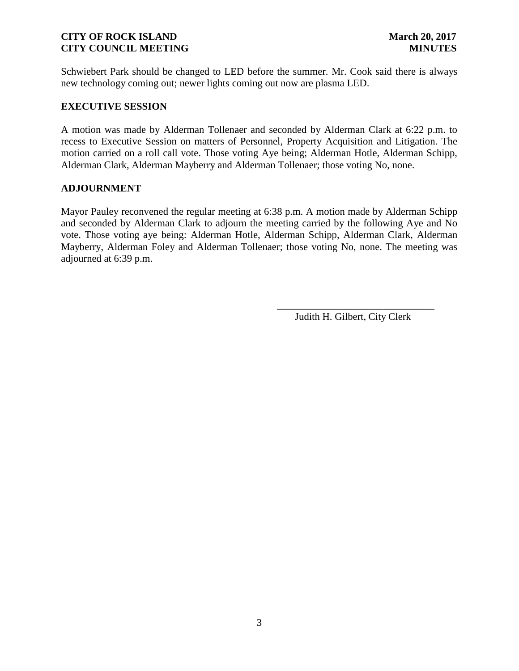Schwiebert Park should be changed to LED before the summer. Mr. Cook said there is always new technology coming out; newer lights coming out now are plasma LED.

### **EXECUTIVE SESSION**

A motion was made by Alderman Tollenaer and seconded by Alderman Clark at 6:22 p.m. to recess to Executive Session on matters of Personnel, Property Acquisition and Litigation. The motion carried on a roll call vote. Those voting Aye being; Alderman Hotle, Alderman Schipp, Alderman Clark, Alderman Mayberry and Alderman Tollenaer; those voting No, none.

### **ADJOURNMENT**

Mayor Pauley reconvened the regular meeting at 6:38 p.m. A motion made by Alderman Schipp and seconded by Alderman Clark to adjourn the meeting carried by the following Aye and No vote. Those voting aye being: Alderman Hotle, Alderman Schipp, Alderman Clark, Alderman Mayberry, Alderman Foley and Alderman Tollenaer; those voting No, none. The meeting was adjourned at 6:39 p.m.

Judith H. Gilbert, City Clerk

\_\_\_\_\_\_\_\_\_\_\_\_\_\_\_\_\_\_\_\_\_\_\_\_\_\_\_\_\_\_\_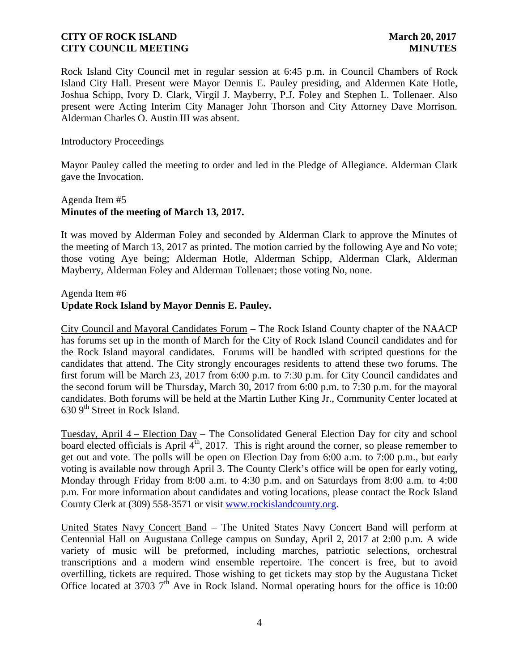Rock Island City Council met in regular session at 6:45 p.m. in Council Chambers of Rock Island City Hall. Present were Mayor Dennis E. Pauley presiding, and Aldermen Kate Hotle, Joshua Schipp, Ivory D. Clark, Virgil J. Mayberry, P.J. Foley and Stephen L. Tollenaer. Also present were Acting Interim City Manager John Thorson and City Attorney Dave Morrison. Alderman Charles O. Austin III was absent.

Introductory Proceedings

Mayor Pauley called the meeting to order and led in the Pledge of Allegiance. Alderman Clark gave the Invocation.

# Agenda Item #5 **Minutes of the meeting of March 13, 2017.**

It was moved by Alderman Foley and seconded by Alderman Clark to approve the Minutes of the meeting of March 13, 2017 as printed. The motion carried by the following Aye and No vote; those voting Aye being; Alderman Hotle, Alderman Schipp, Alderman Clark, Alderman Mayberry, Alderman Foley and Alderman Tollenaer; those voting No, none.

Agenda Item #6

# **Update Rock Island by Mayor Dennis E. Pauley.**

City Council and Mayoral Candidates Forum – The Rock Island County chapter of the NAACP has forums set up in the month of March for the City of Rock Island Council candidates and for the Rock Island mayoral candidates. Forums will be handled with scripted questions for the candidates that attend. The City strongly encourages residents to attend these two forums. The first forum will be March 23, 2017 from 6:00 p.m. to 7:30 p.m. for City Council candidates and the second forum will be Thursday, March 30, 2017 from 6:00 p.m. to 7:30 p.m. for the mayoral candidates. Both forums will be held at the Martin Luther King Jr., Community Center located at 630 9<sup>th</sup> Street in Rock Island.

Tuesday, April 4 – Election Day – The Consolidated General Election Day for city and school board elected officials is April  $\vec{4}^{\text{th}}$ , 2017. This is right around the corner, so please remember to get out and vote. The polls will be open on Election Day from 6:00 a.m. to 7:00 p.m., but early voting is available now through April 3. The County Clerk's office will be open for early voting, Monday through Friday from 8:00 a.m. to 4:30 p.m. and on Saturdays from 8:00 a.m. to 4:00 p.m. For more information about candidates and voting locations, please contact the Rock Island County Clerk at (309) 558-3571 or visit www.rockislandcounty.org.

United States Navy Concert Band – The United States Navy Concert Band will perform at Centennial Hall on Augustana College campus on Sunday, April 2, 2017 at 2:00 p.m. A wide variety of music will be preformed, including marches, patriotic selections, orchestral transcriptions and a modern wind ensemble repertoire. The concert is free, but to avoid overfilling, tickets are required. Those wishing to get tickets may stop by the Augustana Ticket Office located at 3703  $7<sup>th</sup>$  Ave in Rock Island. Normal operating hours for the office is 10:00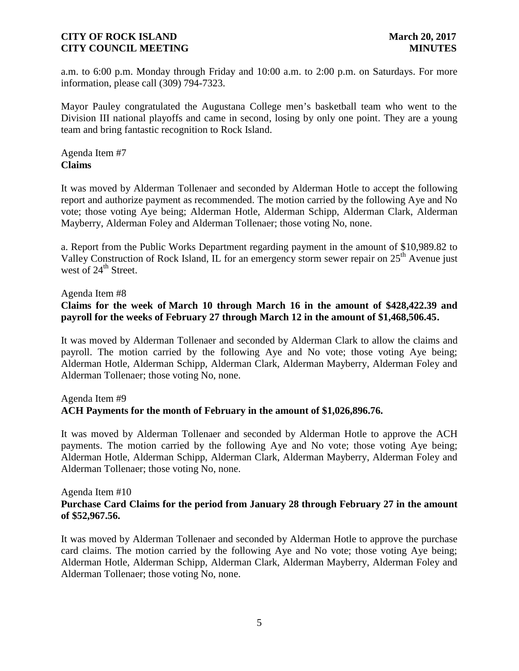a.m. to 6:00 p.m. Monday through Friday and 10:00 a.m. to 2:00 p.m. on Saturdays. For more information, please call (309) 794-7323.

Mayor Pauley congratulated the Augustana College men's basketball team who went to the Division III national playoffs and came in second, losing by only one point. They are a young team and bring fantastic recognition to Rock Island.

Agenda Item #7 **Claims**

It was moved by Alderman Tollenaer and seconded by Alderman Hotle to accept the following report and authorize payment as recommended. The motion carried by the following Aye and No vote; those voting Aye being; Alderman Hotle, Alderman Schipp, Alderman Clark, Alderman Mayberry, Alderman Foley and Alderman Tollenaer; those voting No, none.

a. Report from the Public Works Department regarding payment in the amount of \$10,989.82 to Valley Construction of Rock Island, IL for an emergency storm sewer repair on  $25<sup>th</sup>$  Avenue just west of 24<sup>th</sup> Street.

Agenda Item #8

# **Claims for the week of March 10 through March 16 in the amount of \$428,422.39 and payroll for the weeks of February 27 through March 12 in the amount of \$1,468,506.45.**

It was moved by Alderman Tollenaer and seconded by Alderman Clark to allow the claims and payroll. The motion carried by the following Aye and No vote; those voting Aye being; Alderman Hotle, Alderman Schipp, Alderman Clark, Alderman Mayberry, Alderman Foley and Alderman Tollenaer; those voting No, none.

### Agenda Item #9

### **ACH Payments for the month of February in the amount of \$1,026,896.76.**

It was moved by Alderman Tollenaer and seconded by Alderman Hotle to approve the ACH payments. The motion carried by the following Aye and No vote; those voting Aye being; Alderman Hotle, Alderman Schipp, Alderman Clark, Alderman Mayberry, Alderman Foley and Alderman Tollenaer; those voting No, none.

#### Agenda Item #10

### **Purchase Card Claims for the period from January 28 through February 27 in the amount of \$52,967.56.**

It was moved by Alderman Tollenaer and seconded by Alderman Hotle to approve the purchase card claims. The motion carried by the following Aye and No vote; those voting Aye being; Alderman Hotle, Alderman Schipp, Alderman Clark, Alderman Mayberry, Alderman Foley and Alderman Tollenaer; those voting No, none.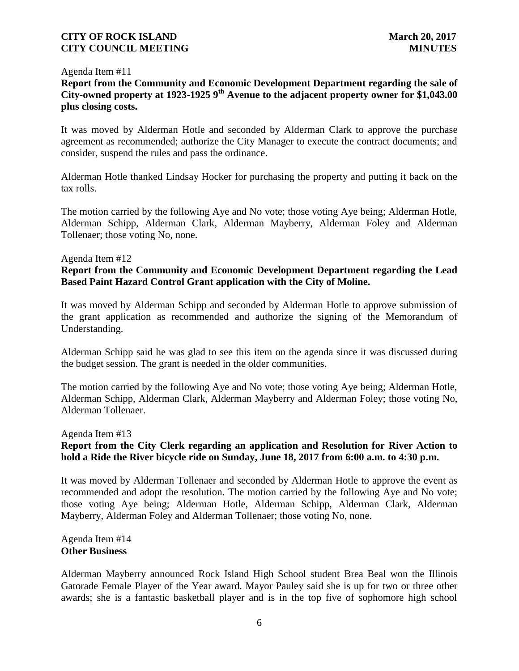#### Agenda Item #11

# **Report from the Community and Economic Development Department regarding the sale of City-owned property at 1923-1925 9th Avenue to the adjacent property owner for \$1,043.00 plus closing costs.**

It was moved by Alderman Hotle and seconded by Alderman Clark to approve the purchase agreement as recommended; authorize the City Manager to execute the contract documents; and consider, suspend the rules and pass the ordinance.

Alderman Hotle thanked Lindsay Hocker for purchasing the property and putting it back on the tax rolls.

The motion carried by the following Aye and No vote; those voting Aye being; Alderman Hotle, Alderman Schipp, Alderman Clark, Alderman Mayberry, Alderman Foley and Alderman Tollenaer; those voting No, none.

#### Agenda Item #12

## **Report from the Community and Economic Development Department regarding the Lead Based Paint Hazard Control Grant application with the City of Moline.**

It was moved by Alderman Schipp and seconded by Alderman Hotle to approve submission of the grant application as recommended and authorize the signing of the Memorandum of Understanding.

Alderman Schipp said he was glad to see this item on the agenda since it was discussed during the budget session. The grant is needed in the older communities.

The motion carried by the following Aye and No vote; those voting Aye being; Alderman Hotle, Alderman Schipp, Alderman Clark, Alderman Mayberry and Alderman Foley; those voting No, Alderman Tollenaer.

### Agenda Item #13

# **Report from the City Clerk regarding an application and Resolution for River Action to hold a Ride the River bicycle ride on Sunday, June 18, 2017 from 6:00 a.m. to 4:30 p.m.**

It was moved by Alderman Tollenaer and seconded by Alderman Hotle to approve the event as recommended and adopt the resolution. The motion carried by the following Aye and No vote; those voting Aye being; Alderman Hotle, Alderman Schipp, Alderman Clark, Alderman Mayberry, Alderman Foley and Alderman Tollenaer; those voting No, none.

#### Agenda Item #14 **Other Business**

Alderman Mayberry announced Rock Island High School student Brea Beal won the Illinois Gatorade Female Player of the Year award. Mayor Pauley said she is up for two or three other awards; she is a fantastic basketball player and is in the top five of sophomore high school